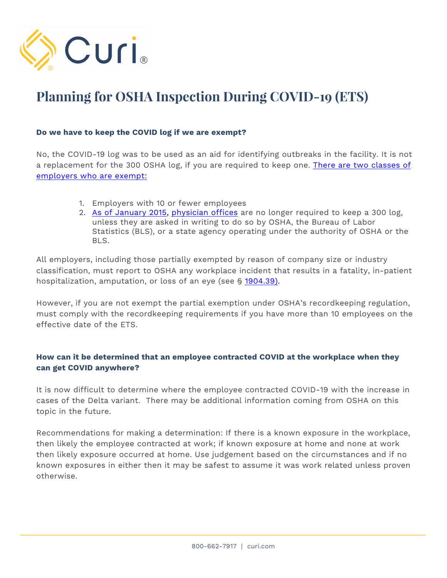

# **Planning for OSHA Inspection During COVID-19 (ETS)**

## **Do we have to keep the COVID log if we are exempt?**

No, the COVID-19 log was to be used as an aid for identifying outbreaks in the facility. It is not a replacement for the 300 OSHA log, if you are required to keep one. [There are two classes of](https://www.osha.gov/recordkeeping/2014#:~:text=Additional%20Resources-,Who%20Keeps%20Records,-Under%20OSHA%27s%20recordkeeping)  [employers who are exempt:](https://www.osha.gov/recordkeeping/2014#:~:text=Additional%20Resources-,Who%20Keeps%20Records,-Under%20OSHA%27s%20recordkeeping)

- 1. Employers with 10 or fewer employees
- 2. [As of January 2015,](https://www.osha.gov/recordkeeping/presentations/exempttable) [physician offices](https://www.osha.gov/recordkeeping/presentations/exempttable#:~:text=6211,Offices%20of%20Physicians) are no longer required to keep a 300 log, unless they are asked in writing to do so by OSHA, the Bureau of Labor Statistics (BLS), or a state agency operating under the authority of OSHA or the BLS.

All employers, including those partially exempted by reason of company size or industry classification, must report to OSHA any workplace incident that results in a fatality, in-patient hospitalization, amputation, or loss of an eye (see § [1904.39\).](https://www.osha.gov/laws-regs/regulations/standardnumber/1904/1904.39)

However, if you are not exempt the partial exemption under OSHA's recordkeeping regulation, must comply with the recordkeeping requirements if you have more than 10 employees on the effective date of the ETS.

# **How can it be determined that an employee contracted COVID at the workplace when they can get COVID anywhere?**

It is now difficult to determine where the employee contracted COVID-19 with the increase in cases of the Delta variant. There may be additional information coming from OSHA on this topic in the future.

Recommendations for making a determination: If there is a known exposure in the workplace, then likely the employee contracted at work; if known exposure at home and none at work then likely exposure occurred at home. Use judgement based on the circumstances and if no known exposures in either then it may be safest to assume it was work related unless proven otherwise.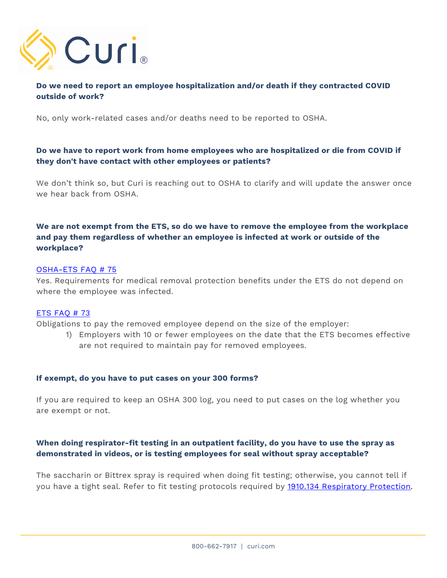

# **Do we need to report an employee hospitalization and/or death if they contracted COVID outside of work?**

No, only work-related cases and/or deaths need to be reported to OSHA.

# **Do we have to report work from home employees who are hospitalized or die from COVID if they don't have contact with other employees or patients?**

We don't think so, but Curi is reaching out to OSHA to clarify and will update the answer once we hear back from OSHA.

# **We are not exempt from the ETS, so do we have to remove the employee from the workplace and pay them regardless of whether an employee is infected at work or outside of the workplace?**

#### [OSHA-ETS FAQ # 75](https://www.osha.gov/coronavirus/ets/faqs#accordion-79089-collapse3)

Yes. Requirements for medical removal protection benefits under the ETS do not depend on where the employee was infected.

#### [ETS FAQ # 73](https://www.osha.gov/coronavirus/ets/faqs#accordion-79089-collapse3)

Obligations to pay the removed employee depend on the size of the employer:

1) Employers with 10 or fewer employees on the date that the ETS becomes effective are not required to maintain pay for removed employees.

#### **If exempt, do you have to put cases on your 300 forms?**

If you are required to keep an OSHA 300 log, you need to put cases on the log whether you are exempt or not.

# **When doing respirator-fit testing in an outpatient facility, do you have to use the spray as demonstrated in videos, or is testing employees for seal without spray acceptable?**

The saccharin or Bittrex spray is required when doing fit testing; otherwise, you cannot tell if you have a tight seal. Refer to fit testing protocols required by [1910.134 Respiratory Protection.](https://www.osha.gov/laws-regs/regulations/standardnumber/1910/1910.134AppA#:~:text=Appendix%20A%20to,Fit%20Test%20Protocols)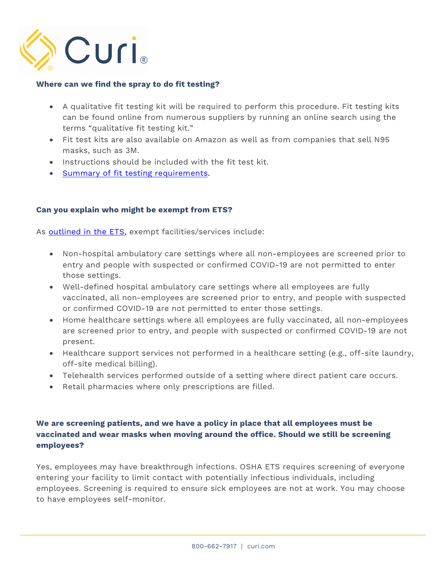

## **Where can we find the spray to do fit testing?**

- A qualitative fit testing kit will be required to perform this procedure. Fit testing kits can be found online from numerous suppliers by running an online search using the terms "qualitative fit testing kit."
- Fit test kits are also available on Amazon as well as from companies that sell N95 masks, such as 3M.
- Instructions should be included with the fit test kit.
- [Summary of fit testing requirements.](https://www.cdc.gov/niosh/npptl/pdfs/n95info2-2015-508.pdf)

#### **Can you explain who might be exempt from ETS?**

As **outlined in the ETS**, exempt facilities/services include:

- Non-hospital ambulatory care settings where all non-employees are screened prior to entry and people with suspected or confirmed COVID-19 are not permitted to enter those settings.
- Well-defined hospital ambulatory care settings where all employees are fully vaccinated, all non-employees are screened prior to entry, and people with suspected or confirmed COVID-19 are not permitted to enter those settings.
- Home healthcare settings where all employees are fully vaccinated, all non-employees are screened prior to entry, and people with suspected or confirmed COVID-19 are not present.
- Healthcare support services not performed in a healthcare setting (e.g., off-site laundry, off-site medical billing).
- Telehealth services performed outside of a setting where direct patient care occurs.
- Retail pharmacies where only prescriptions are filled.

# **We are screening patients, and we have a policy in place that all employees must be vaccinated and wear masks when moving around the office. Should we still be screening employees?**

Yes, employees may have breakthrough infections. OSHA ETS requires screening of everyone entering your facility to limit contact with potentially infectious individuals, including employees. Screening is required to ensure sick employees are not at work. You may choose to have employees self-monitor.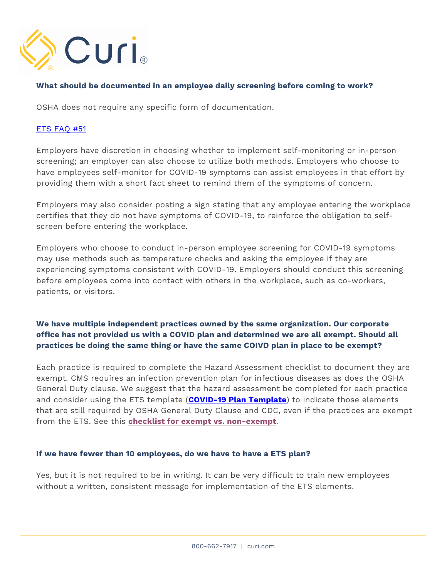

### **What should be documented in an employee daily screening before coming to work?**

OSHA does not require any specific form of documentation.

### [ETS FAQ #51](https://www.osha.gov/coronavirus/ets/faqs#:~:text=51.%20May%20an%20employer%20choose%20to%20have%20employees%20self-monitor%20for%20symptoms%2C%20or%20must%20symptom%20screening%20be%20done%20on%20site%3F)

Employers have discretion in choosing whether to implement self-monitoring or in-person screening; an employer can also choose to utilize both methods. Employers who choose to have employees self-monitor for COVID-19 symptoms can assist employees in that effort by providing them with a short fact sheet to remind them of the symptoms of concern.

Employers may also consider posting a sign stating that any employee entering the workplace certifies that they do not have symptoms of COVID-19, to reinforce the obligation to selfscreen before entering the workplace.

Employers who choose to conduct in-person employee screening for COVID-19 symptoms may use methods such as temperature checks and asking the employee if they are experiencing symptoms consistent with COVID-19. Employers should conduct this screening before employees come into contact with others in the workplace, such as co-workers, patients, or visitors.

# **We have multiple independent practices owned by the same organization. Our corporate office has not provided us with a COVID plan and determined we are all exempt. Should all practices be doing the same thing or have the same COIVD plan in place to be exempt?**

Each practice is required to complete the Hazard Assessment checklist to document they are exempt. CMS requires an infection prevention plan for infectious diseases as does the OSHA General Duty clause. We suggest that the hazard assessment be completed for each practice and consider using the ETS template (**[COVID-19 Plan Template](https://www.osha.gov/sites/default/files/COVID-19_Healthcare_ETS_Model_Written_Plan.docx)**) to indicate those elements that are still required by OSHA General Duty Clause and CDC, even if the practices are exempt from the ETS. See this **[checklist for exempt vs. non-exempt](https://curi.com/wp-content/uploads/2021/06/COVID-19-Checklist-Exempt-vs-Non-Exempt-ETS-Sept.-2021.docx.pdf)**.

#### **If we have fewer than 10 employees, do we have to have a ETS plan?**

Yes, but it is not required to be in writing. It can be very difficult to train new employees without a written, consistent message for implementation of the ETS elements.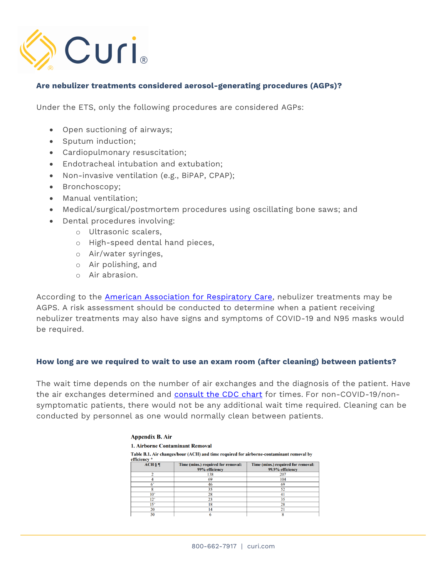

### **Are nebulizer treatments considered aerosol-generating procedures (AGPs)?**

Under the ETS, only the following procedures are considered AGPs:

- Open suctioning of airways;
- Sputum induction;
- Cardiopulmonary resuscitation;
- Endotracheal intubation and extubation;
- Non-invasive ventilation (e.g., BiPAP, CPAP);
- Bronchoscopy;
- Manual ventilation;
- Medical/surgical/postmortem procedures using oscillating bone saws; and
- Dental procedures involving:
	- o Ultrasonic scalers,
	- o High-speed dental hand pieces,
	- o Air/water syringes,
	- o Air polishing, and
	- o Air abrasion.

According to the **American Association for Respiratory Care**, nebulizer treatments may be AGPS. A risk assessment should be conducted to determine when a patient receiving nebulizer treatments may also have signs and symptoms of COVID-19 and N95 masks would be required.

#### **How long are we required to wait to use an exam room (after cleaning) between patients?**

The wait time depends on the number of air exchanges and the diagnosis of the patient. Have the air exchanges determined and [consult the CDC chart](https://www.cdc.gov/infectioncontrol/pdf/guidelines/environmental-guidelines-P.pdf) for times. For non-COVID-19/nonsymptomatic patients, there would not be any additional wait time required. Cleaning can be conducted by personnel as one would normally clean between patients.

| Appendix B. Air<br><b>1. Airborne Contaminant Removal</b><br>Table B.1. Air changes/hour (ACH) and time required for airborne-contaminant removal by<br>efficiency * |    |     |          |                                                      |                                                        |
|----------------------------------------------------------------------------------------------------------------------------------------------------------------------|----|-----|----------|------------------------------------------------------|--------------------------------------------------------|
|                                                                                                                                                                      |    |     | $ACH$ §¶ | Time (mins.) required for removal:<br>99% efficiency | Time (mins.) required for removal:<br>99.9% efficiency |
|                                                                                                                                                                      |    |     |          | 138                                                  | 207                                                    |
|                                                                                                                                                                      | 69 | 104 |          |                                                      |                                                        |
| $6+$                                                                                                                                                                 | 46 | 69  |          |                                                      |                                                        |
| 8                                                                                                                                                                    | 35 | 52  |          |                                                      |                                                        |
| $10+$                                                                                                                                                                | 28 | 41  |          |                                                      |                                                        |
| $12^{+}$                                                                                                                                                             | 23 | 35  |          |                                                      |                                                        |
| $15+$                                                                                                                                                                | 18 | 28  |          |                                                      |                                                        |
| 20                                                                                                                                                                   | 14 | 21  |          |                                                      |                                                        |
| 50                                                                                                                                                                   | 6  | 8   |          |                                                      |                                                        |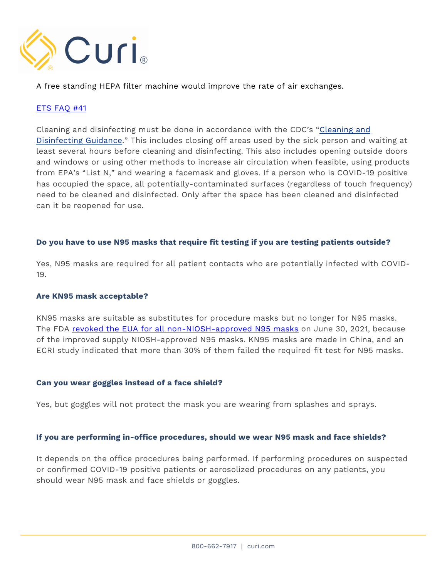

A free standing HEPA filter machine would improve the rate of air exchanges.

## [ETS FAQ #41](https://www.osha.gov/coronavirus/ets/faqs#:~:text=41.%20Are%20there%20any%20special%20cleaning%20and%20disinfection%20requirements%20if%20an%20area%20has%20been%20used%20by%20a%20person%20who%20is%20COVID-19%20positive%3F)

Cleaning and disinfecting must be done in accordance with the CDC's ["Cleaning and](https://www.osha.gov/coronavirus/ets/ibr)  [Disinfecting Guidance." T](https://www.osha.gov/coronavirus/ets/ibr)his includes closing off areas used by the sick person and waiting at least several hours before cleaning and disinfecting. This also includes opening outside doors and windows or using other methods to increase air circulation when feasible, using products from EPA's "List N," and wearing a facemask and gloves. If a person who is COVID-19 positive has occupied the space, all potentially-contaminated surfaces (regardless of touch frequency) need to be cleaned and disinfected. Only after the space has been cleaned and disinfected can it be reopened for use.

#### **Do you have to use N95 masks that require fit testing if you are testing patients outside?**

Yes, N95 masks are required for all patient contacts who are potentially infected with COVID-19.

#### **Are KN95 mask acceptable?**

KN95 masks are suitable as substitutes for procedure masks but no longer for N95 masks. The FDA [revoked the EUA for all non-NIOSH-approved N95 masks](https://www.fda.gov/medical-devices/emergency-use-authorizations-medical-devices/revoked-euas-non-niosh-approved-disposable-filtering-facepiece-respirators) on June 30, 2021, because of the improved supply NIOSH-approved N95 masks. KN95 masks are made in China, and an ECRI study indicated that more than 30% of them failed the required fit test for N95 masks.

#### **Can you wear goggles instead of a face shield?**

Yes, but goggles will not protect the mask you are wearing from splashes and sprays.

#### **If you are performing in-office procedures, should we wear N95 mask and face shields?**

It depends on the office procedures being performed. If performing procedures on suspected or confirmed COVID-19 positive patients or aerosolized procedures on any patients, you should wear N95 mask and face shields or goggles.